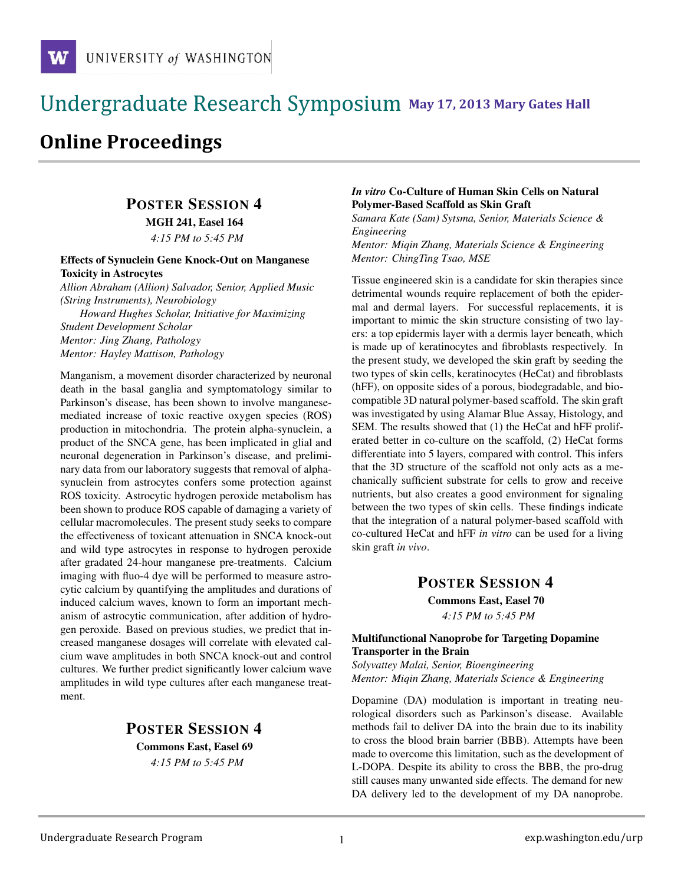### !!!!!!!!!!!!!!!!!!!!!!!!!!!!!!!!!!!!!!!!!!!!!!!!!!!!!!!!!!!!!!!!!!!!!!!!!!!!!!!!!!!!!!!!!!!!!!!!! **111 May 17, 2013 Mary Gates Hall** !!!!!!!!!!!!!!!!!!!!!!!!!!!!!!!!!!!!!!!!!!!!!!!!!!!!!!!!!!!!!!!!!!!!!!!!!!!!!!!!!!

# **Online Proceedings**

## POSTER SESSION 4

MGH 241, Easel 164

*4:15 PM to 5:45 PM*

#### Effects of Synuclein Gene Knock-Out on Manganese Toxicity in Astrocytes

*Allion Abraham (Allion) Salvador, Senior, Applied Music (String Instruments), Neurobiology Howard Hughes Scholar, Initiative for Maximizing Student Development Scholar Mentor: Jing Zhang, Pathology Mentor: Hayley Mattison, Pathology*

Manganism, a movement disorder characterized by neuronal death in the basal ganglia and symptomatology similar to Parkinson's disease, has been shown to involve manganesemediated increase of toxic reactive oxygen species (ROS) production in mitochondria. The protein alpha-synuclein, a product of the SNCA gene, has been implicated in glial and neuronal degeneration in Parkinson's disease, and preliminary data from our laboratory suggests that removal of alphasynuclein from astrocytes confers some protection against ROS toxicity. Astrocytic hydrogen peroxide metabolism has been shown to produce ROS capable of damaging a variety of cellular macromolecules. The present study seeks to compare the effectiveness of toxicant attenuation in SNCA knock-out and wild type astrocytes in response to hydrogen peroxide after gradated 24-hour manganese pre-treatments. Calcium imaging with fluo-4 dye will be performed to measure astrocytic calcium by quantifying the amplitudes and durations of induced calcium waves, known to form an important mechanism of astrocytic communication, after addition of hydrogen peroxide. Based on previous studies, we predict that increased manganese dosages will correlate with elevated calcium wave amplitudes in both SNCA knock-out and control cultures. We further predict significantly lower calcium wave amplitudes in wild type cultures after each manganese treatment.

### POSTER SESSION 4 Commons East, Easel 69 *4:15 PM to 5:45 PM*

#### *In vitro* Co-Culture of Human Skin Cells on Natural Polymer-Based Scaffold as Skin Graft

*Samara Kate (Sam) Sytsma, Senior, Materials Science & Engineering*

*Mentor: Miqin Zhang, Materials Science & Engineering Mentor: ChingTing Tsao, MSE*

Tissue engineered skin is a candidate for skin therapies since detrimental wounds require replacement of both the epidermal and dermal layers. For successful replacements, it is important to mimic the skin structure consisting of two layers: a top epidermis layer with a dermis layer beneath, which is made up of keratinocytes and fibroblasts respectively. In the present study, we developed the skin graft by seeding the two types of skin cells, keratinocytes (HeCat) and fibroblasts (hFF), on opposite sides of a porous, biodegradable, and biocompatible 3D natural polymer-based scaffold. The skin graft was investigated by using Alamar Blue Assay, Histology, and SEM. The results showed that (1) the HeCat and hFF proliferated better in co-culture on the scaffold, (2) HeCat forms differentiate into 5 layers, compared with control. This infers that the 3D structure of the scaffold not only acts as a mechanically sufficient substrate for cells to grow and receive nutrients, but also creates a good environment for signaling between the two types of skin cells. These findings indicate that the integration of a natural polymer-based scaffold with co-cultured HeCat and hFF *in vitro* can be used for a living skin graft *in vivo*.

### POSTER SESSION 4

Commons East, Easel 70 *4:15 PM to 5:45 PM*

#### Multifunctional Nanoprobe for Targeting Dopamine Transporter in the Brain

*Solyvattey Malai, Senior, Bioengineering Mentor: Miqin Zhang, Materials Science & Engineering*

Dopamine (DA) modulation is important in treating neurological disorders such as Parkinson's disease. Available methods fail to deliver DA into the brain due to its inability to cross the blood brain barrier (BBB). Attempts have been made to overcome this limitation, such as the development of L-DOPA. Despite its ability to cross the BBB, the pro-drug still causes many unwanted side effects. The demand for new DA delivery led to the development of my DA nanoprobe.